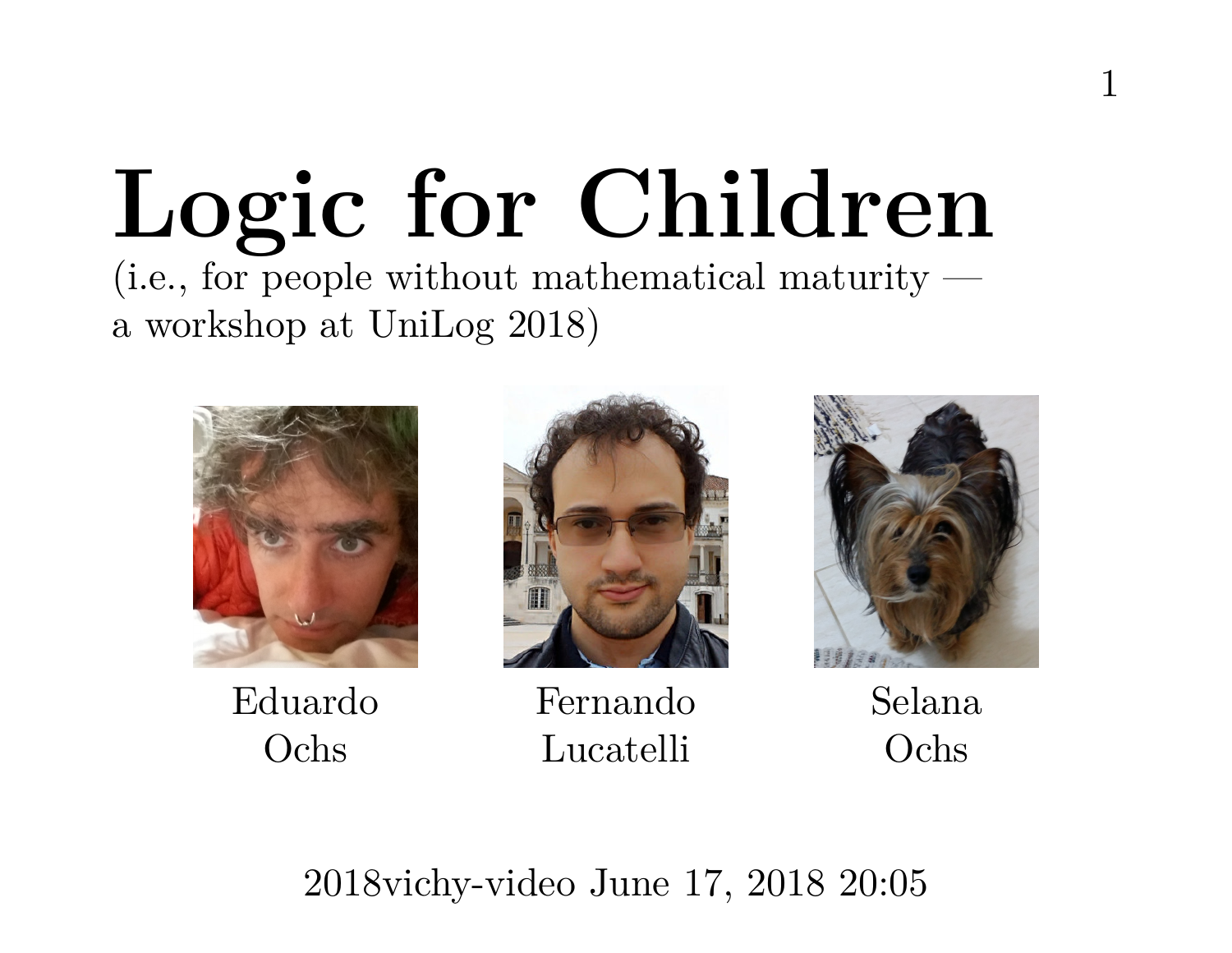# **Logic for Children** (i.e., for people without mathematical maturity a workshop at UniLog 2018)



Eduardo Ochs



Fernando Lucatelli



1

Selana Ochs

2018vichy-video June 17, 2018 20:05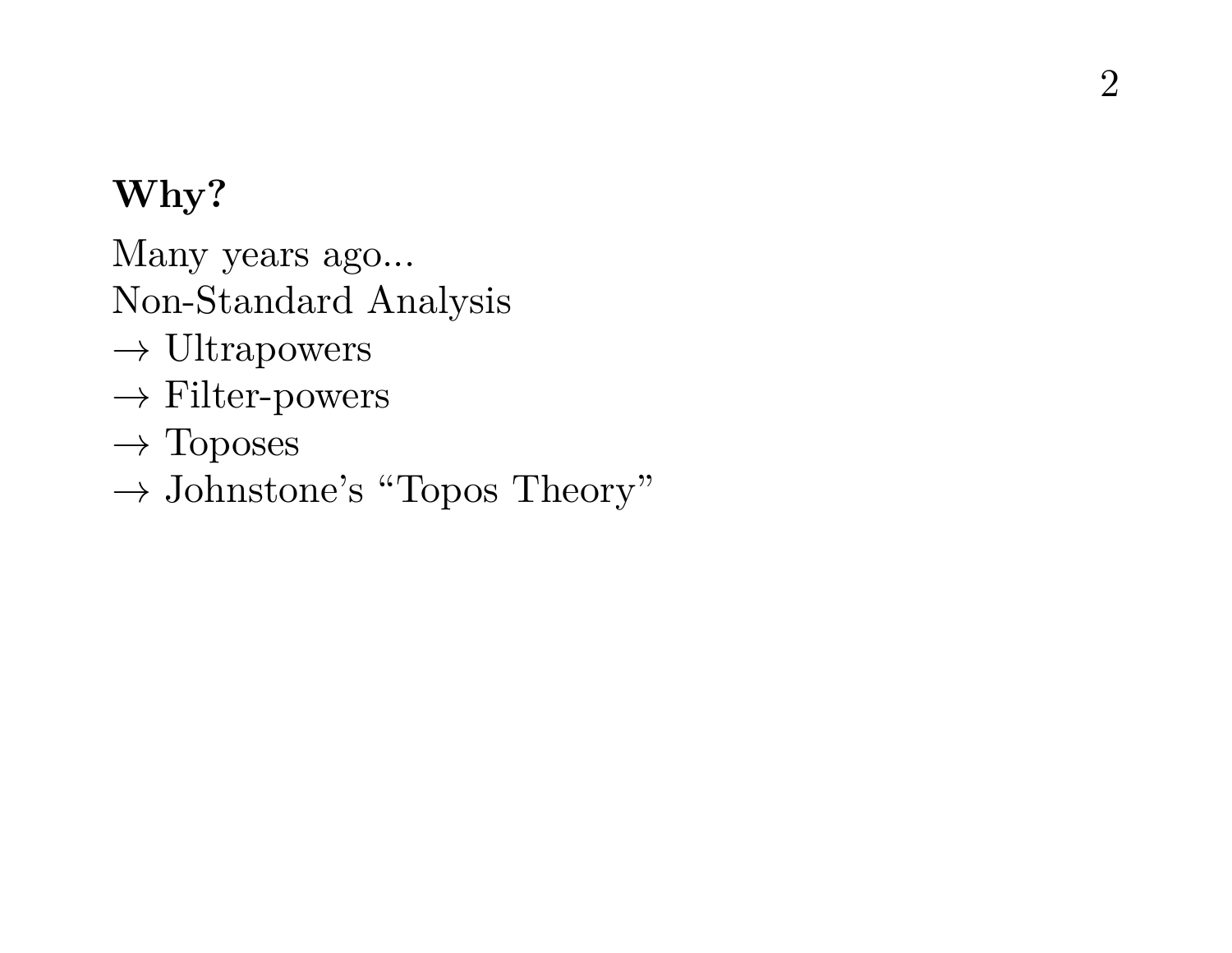Many years ago...

Non-Standard Analysis

- $\rightarrow$  Ultrapowers
- $\rightarrow$  Filter-powers
- $\rightarrow$  Toposes
- $\rightarrow$  Johnstone's "Topos Theory"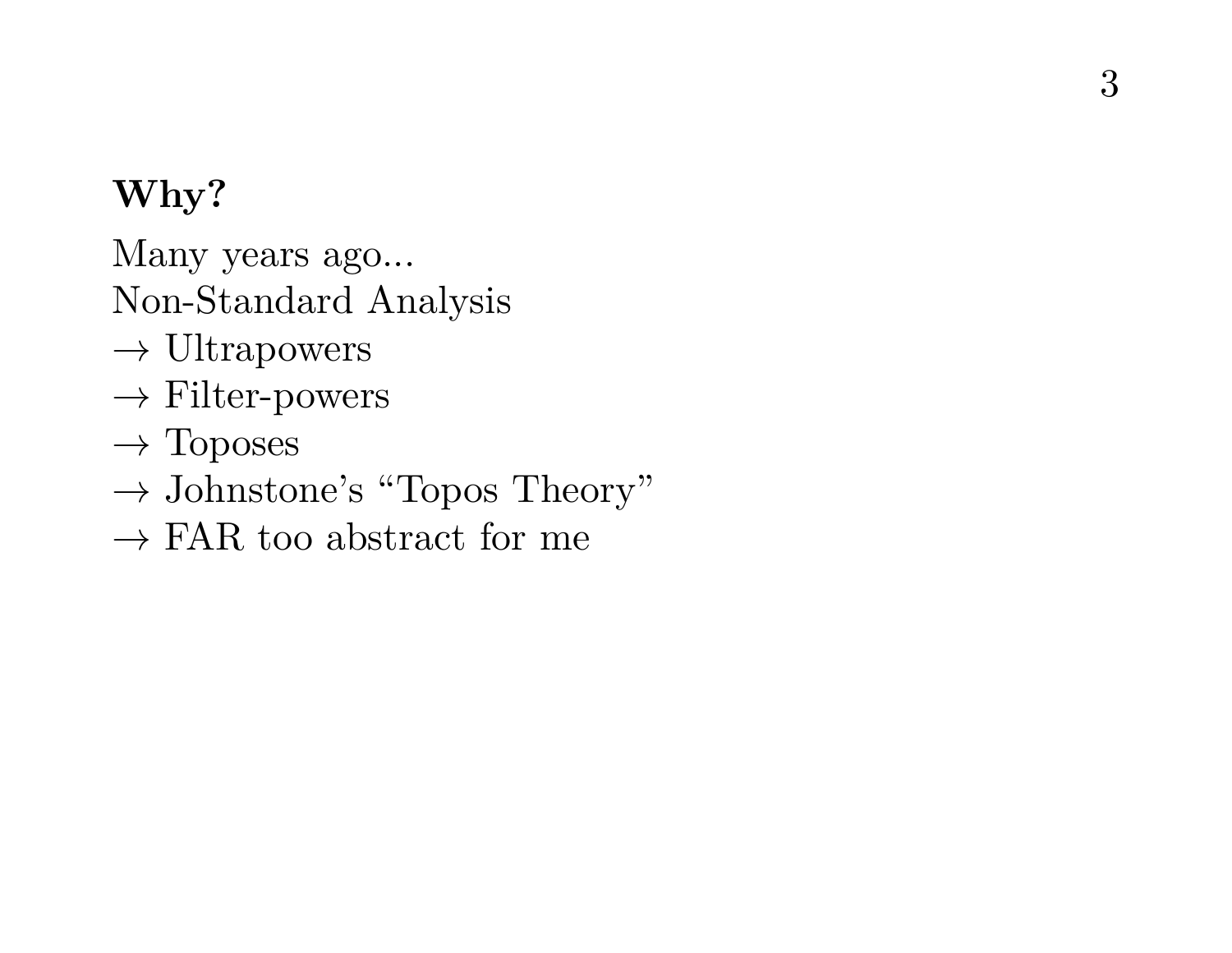Many years ago...

Non-Standard Analysis

- $\rightarrow$  Ultrapowers
- $\rightarrow$  Filter-powers
- $\rightarrow$  Toposes
- $\rightarrow$  Johnstone's "Topos Theory"
- $\rightarrow$  FAR too abstract for me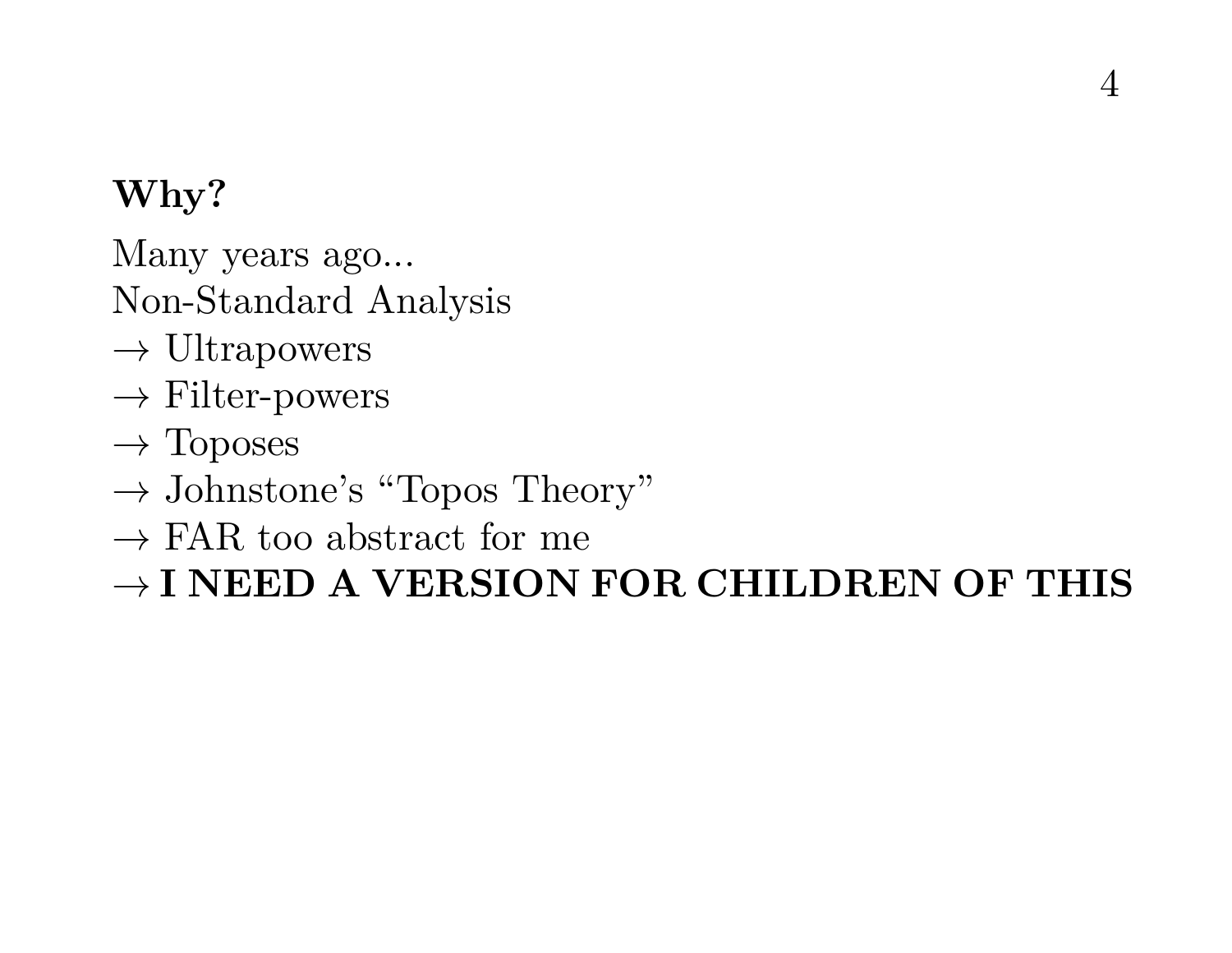Many years ago...

Non-Standard Analysis

- $\rightarrow$  Ultrapowers
- $\rightarrow$  Filter-powers
- $\rightarrow$  Toposes
- $\rightarrow$  Johnstone's "Topos Theory"
- $\rightarrow$  FAR too abstract for me

→ **I NEED A VERSION FOR CHILDREN OF THIS**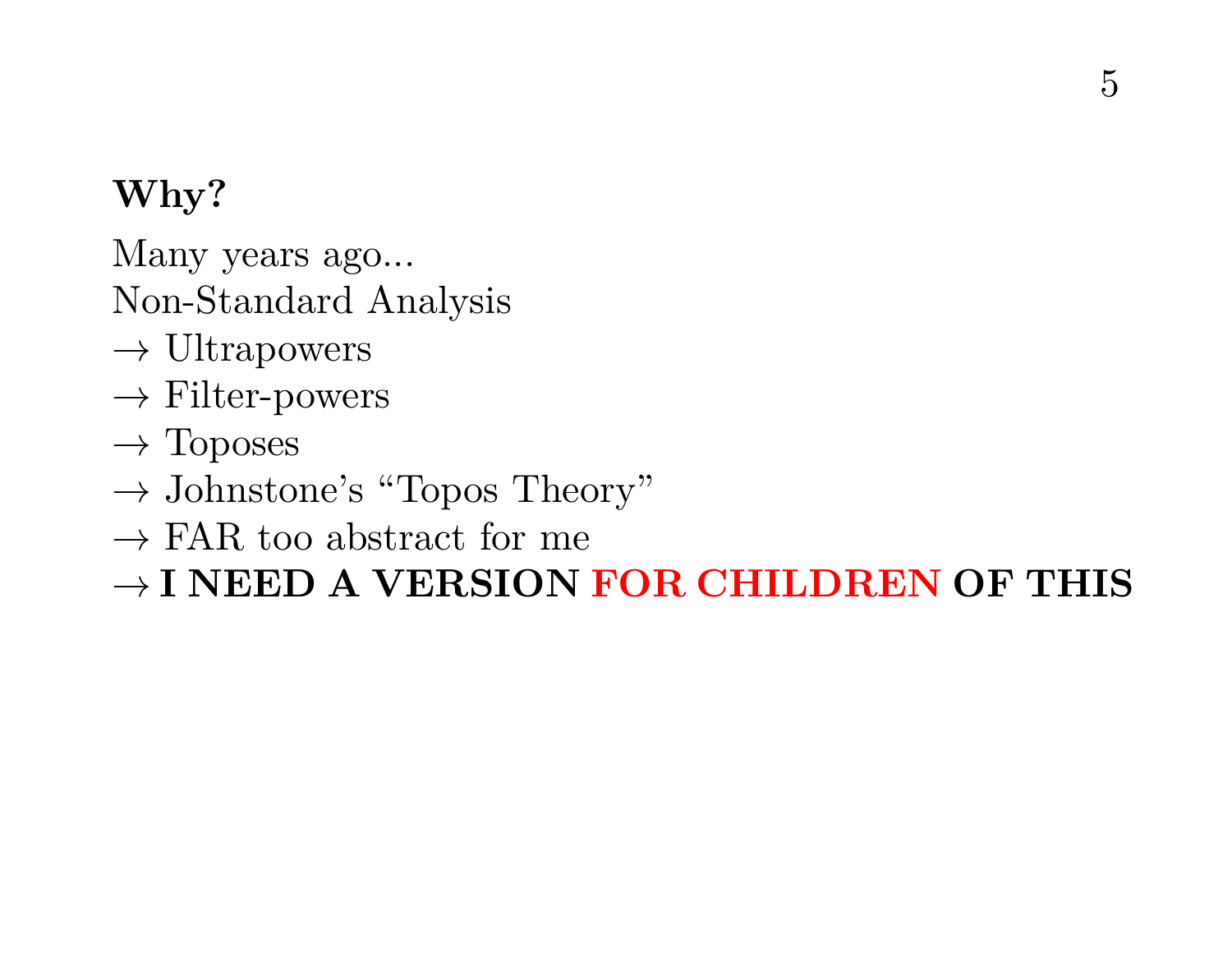Many years ago...

Non-Standard Analysis

- $\rightarrow$  Ultrapowers
- $\rightarrow$  Filter-powers
- $\rightarrow$  Toposes
- $\rightarrow$  Johnstone's "Topos Theory"
- $\rightarrow$  FAR too abstract for me

→ **I NEED A VERSION FOR CHILDREN OF THIS**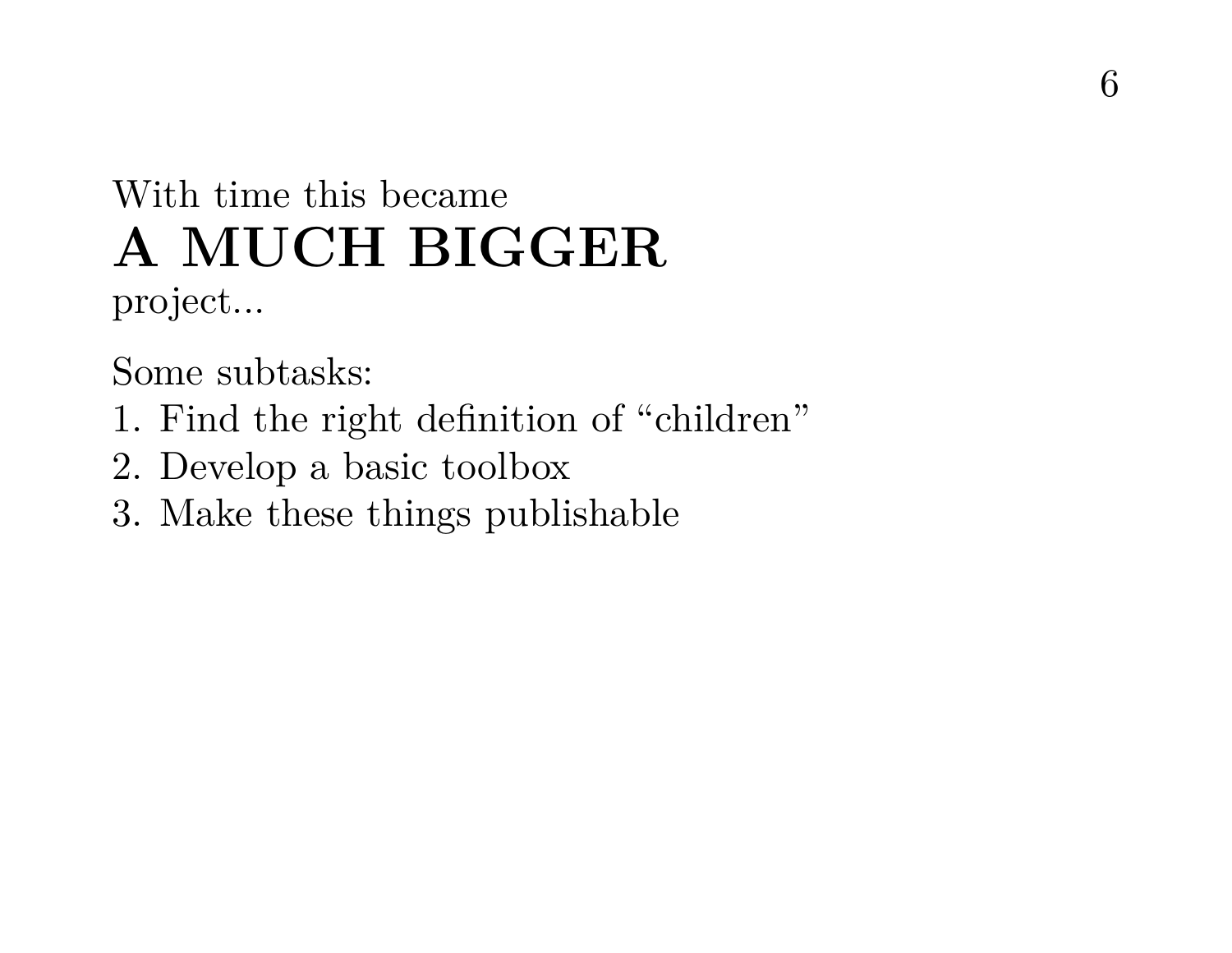# With time this became **A MUCH BIGGER**

project...

Some subtasks:

- 1. Find the right definition of "children"
- 2. Develop a basic toolbox
- 3. Make these things publishable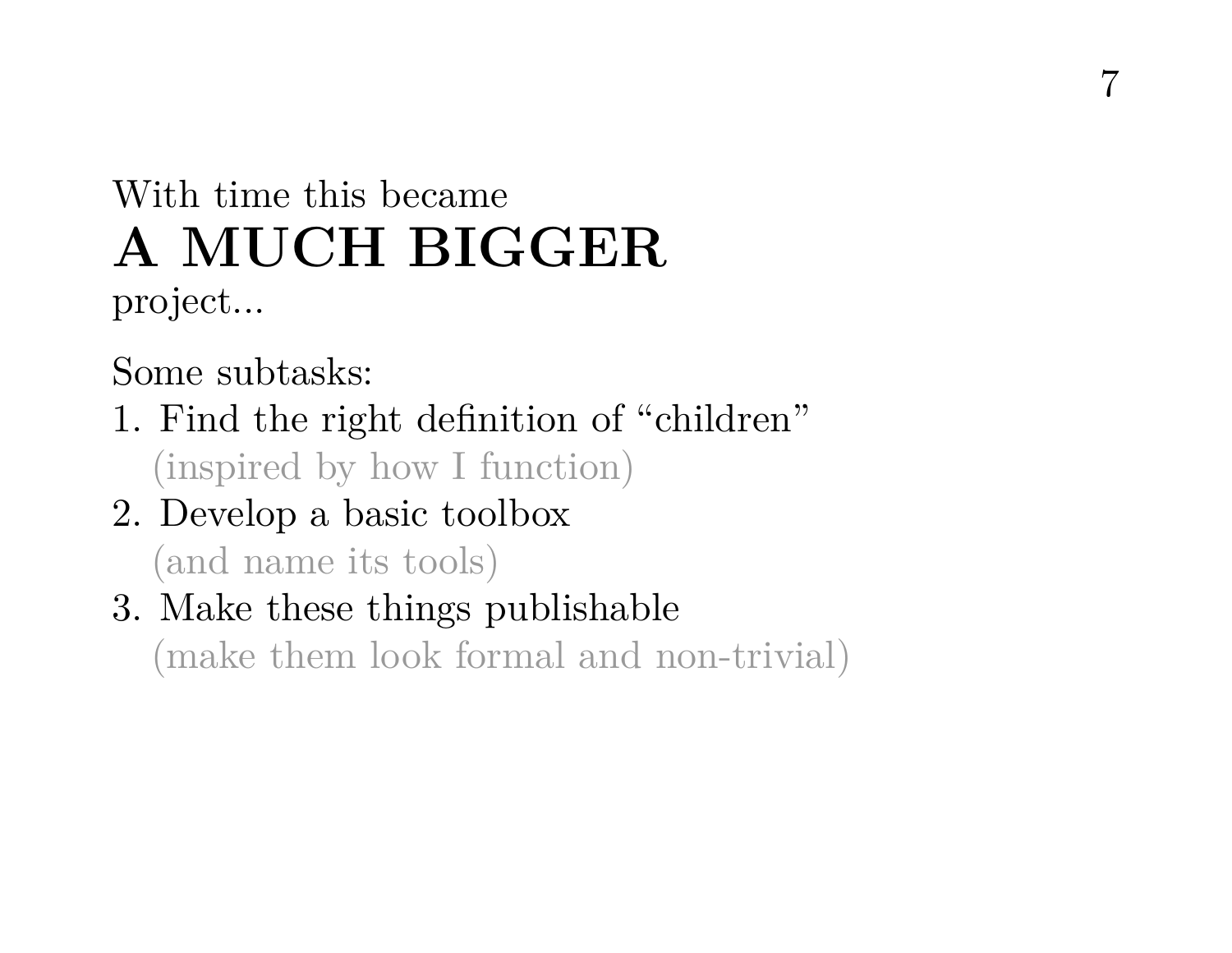## With time this became **A MUCH BIGGER** project...

Some subtasks:

- 1. Find the right definition of "children" (inspired by how I function)
- 2. Develop a basic toolbox (and name its tools)
- 3. Make these things publishable (make them look formal and non-trivial)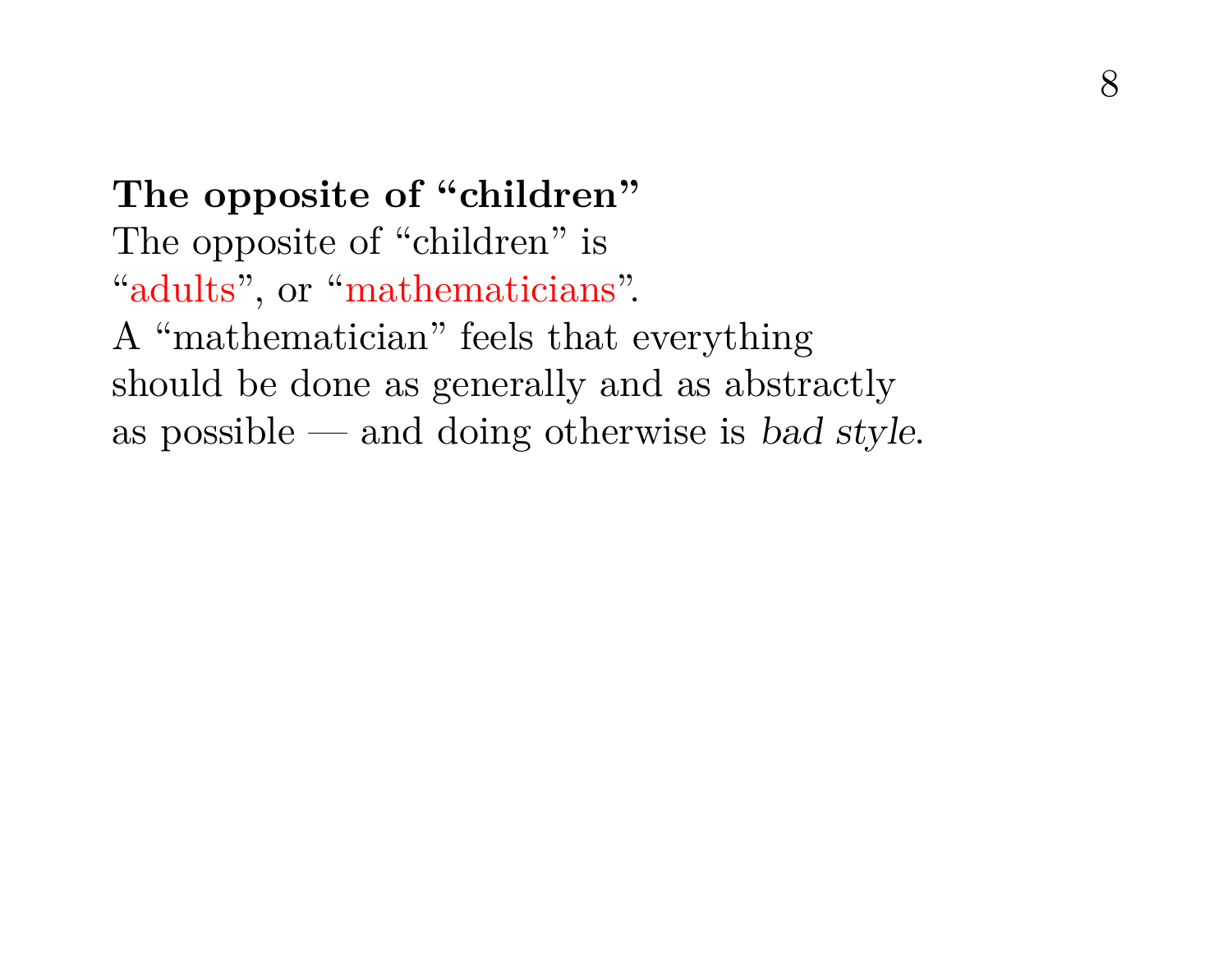8

**The opposite of "children"** The opposite of "children" is "adults", or "mathematicians". A "mathematician" feels that everything should be done as generally and as abstractly as possible — and doing otherwise is bad style.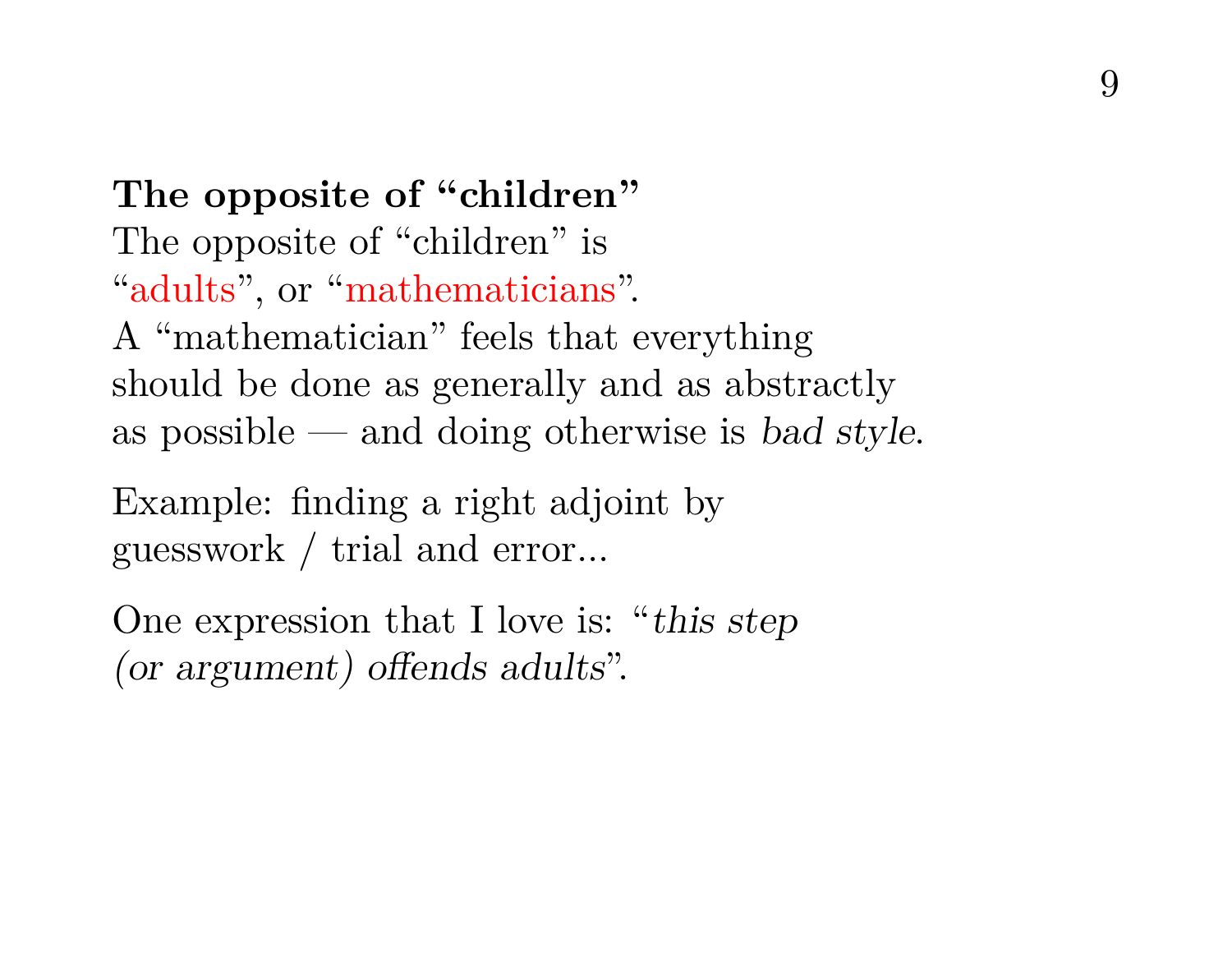**The opposite of "children"** The opposite of "children" is "adults", or "mathematicians". A "mathematician" feels that everything should be done as generally and as abstractly as possible — and doing otherwise is bad style.

Example: finding a right adjoint by guesswork / trial and error...

One expression that I love is: "this step (or argument) offends adults".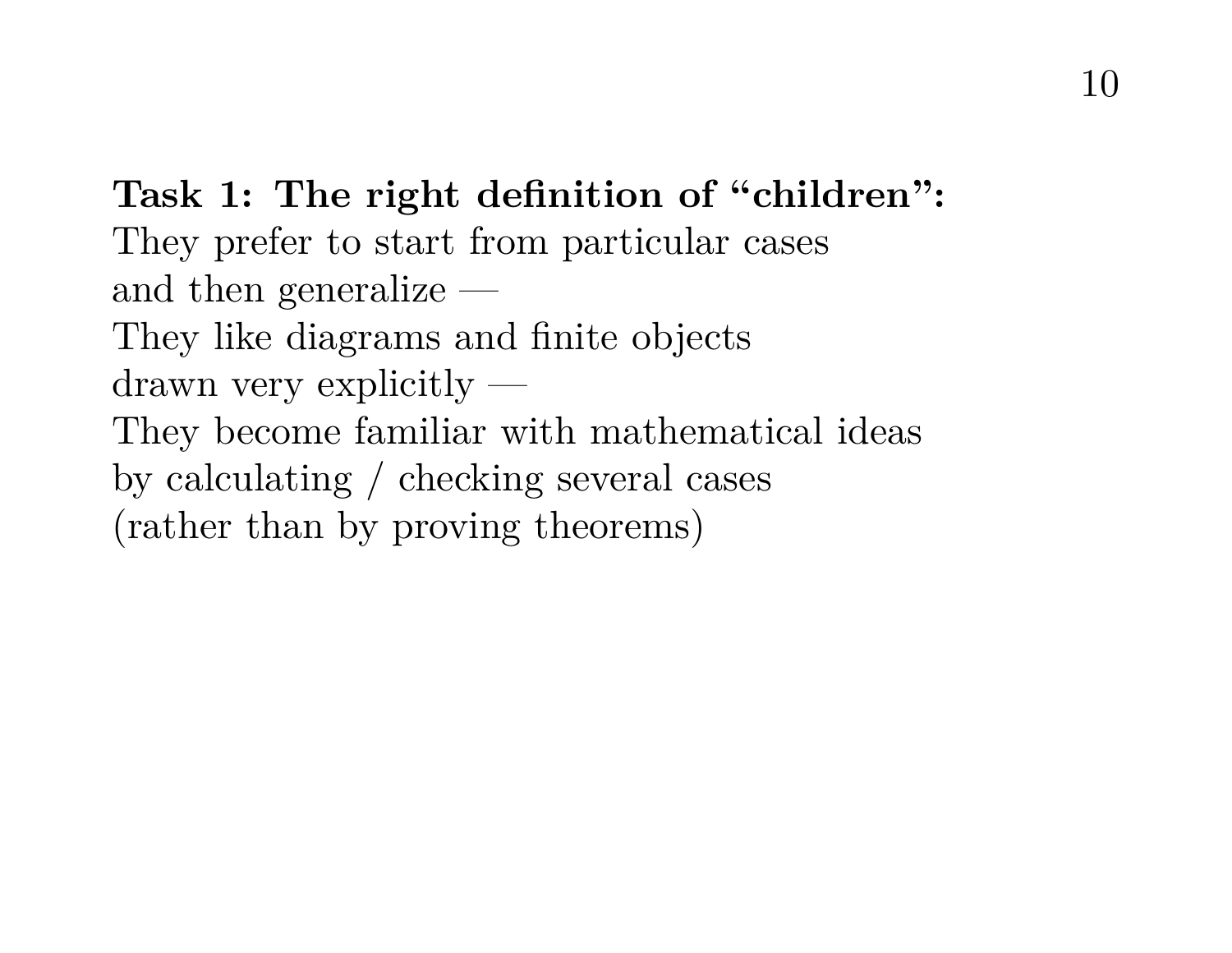**Task 1: The right definition of "children":** They prefer to start from particular cases and then generalize — They like diagrams and finite objects drawn very explicitly — They become familiar with mathematical ideas by calculating / checking several cases (rather than by proving theorems)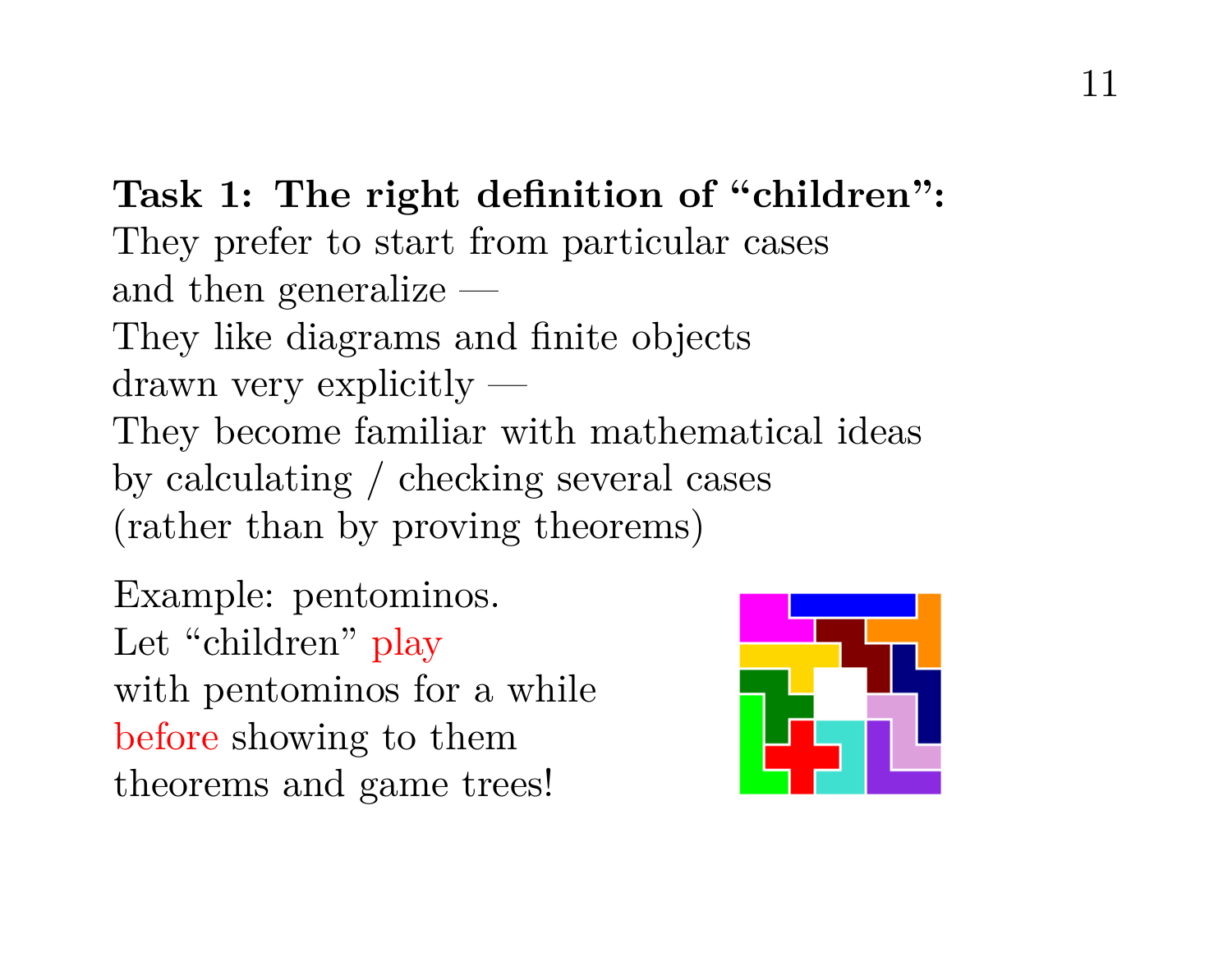**Task 1: The right definition of "children":** They prefer to start from particular cases and then generalize — They like diagrams and finite objects drawn very explicitly — They become familiar with mathematical ideas by calculating / checking several cases (rather than by proving theorems)

Example: pentominos. Let "children" play with pentominos for a while before showing to them theorems and game trees!

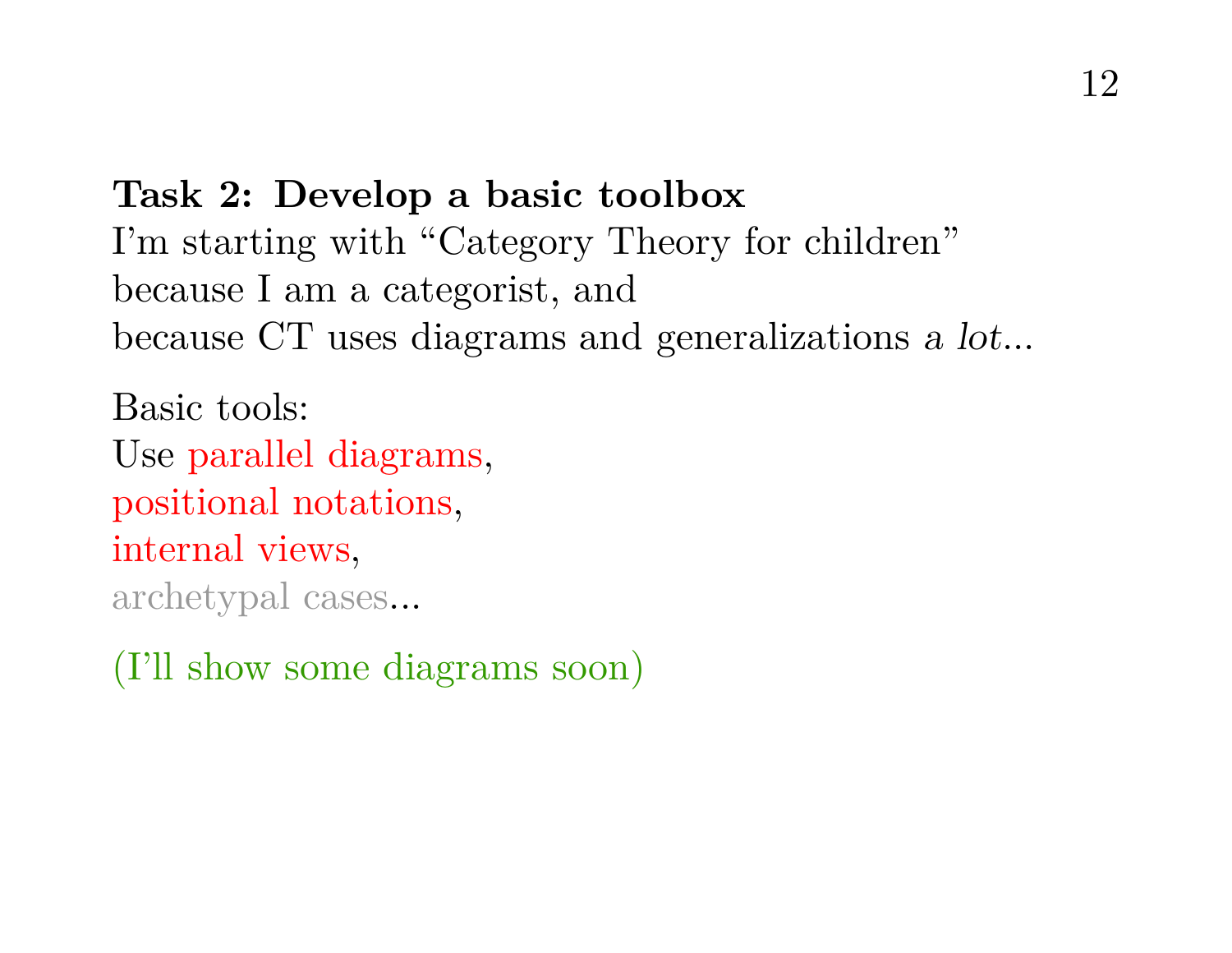## **Task 2: Develop a basic toolbox** I'm starting with "Category Theory for children" because I am a categorist, and because CT uses diagrams and generalizations a lot...

Basic tools: Use parallel diagrams, positional notations, internal views, archetypal cases...

(I'll show some diagrams soon)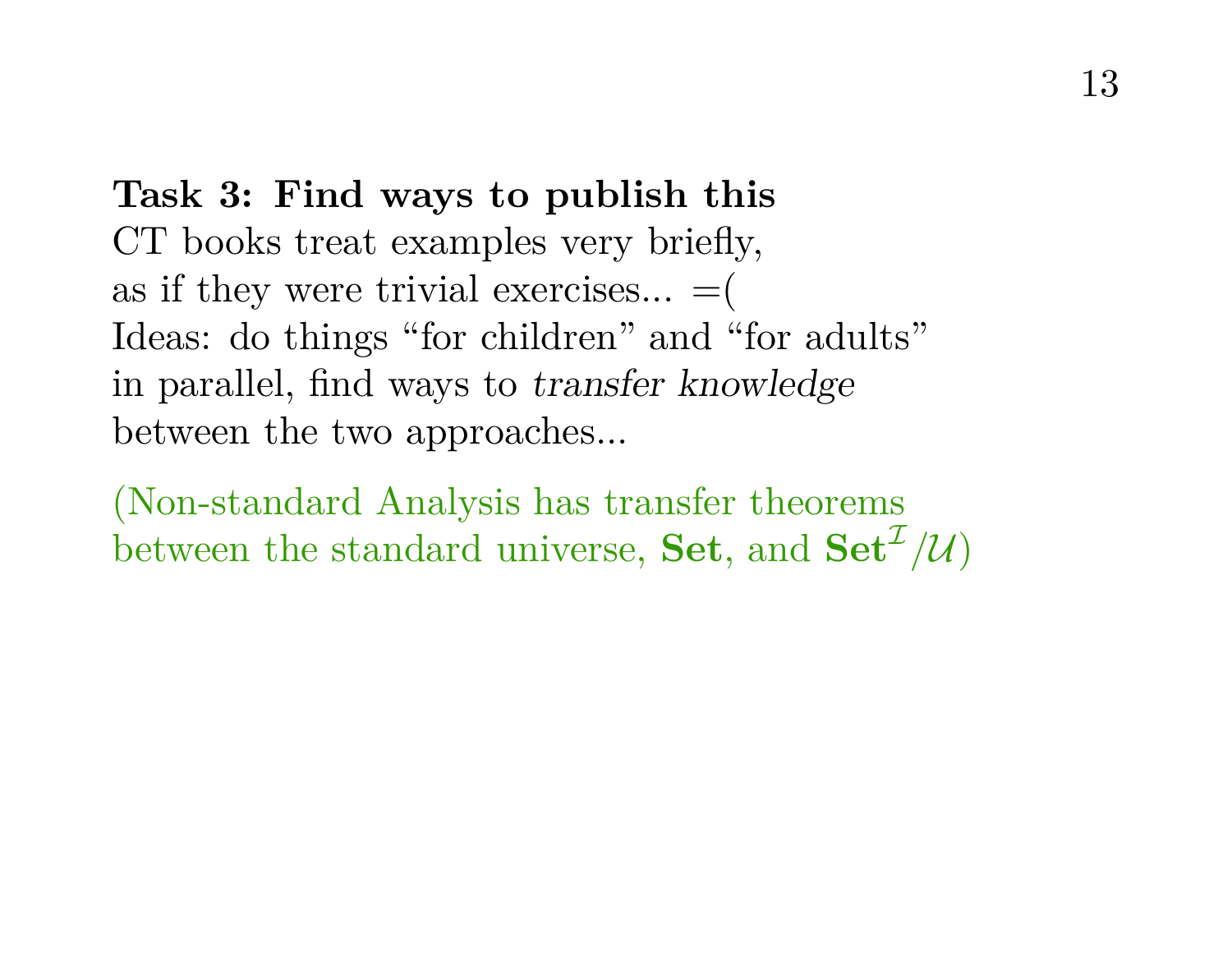## **Task 3: Find ways to publish this** CT books treat examples very briefly, as if they were trivial exercises...  $=$  ( Ideas: do things "for children" and "for adults" in parallel, find ways to transfer knowledge between the two approaches...

(Non-standard Analysis has transfer theorems between the standard universe, **Set**, and  $\textbf{Set}^{\mathcal{I}}/\mathcal{U}$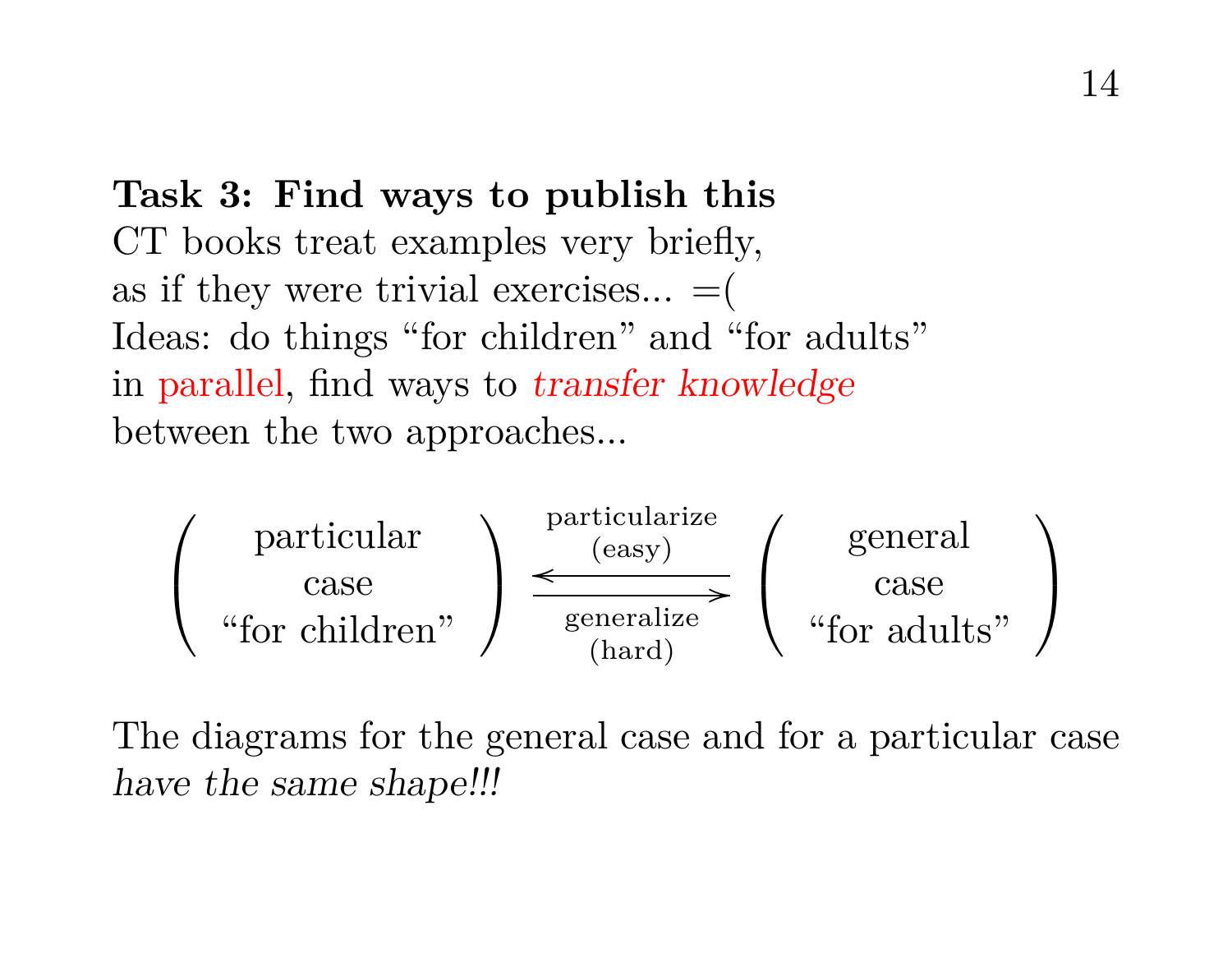## **Task 3: Find ways to publish this** CT books treat examples very briefly, as if they were trivial exercises...  $=$   $($ Ideas: do things "for children" and "for adults" in parallel, find ways to transfer knowledge between the two approaches...



The diagrams for the general case and for a particular case have the same shape!!!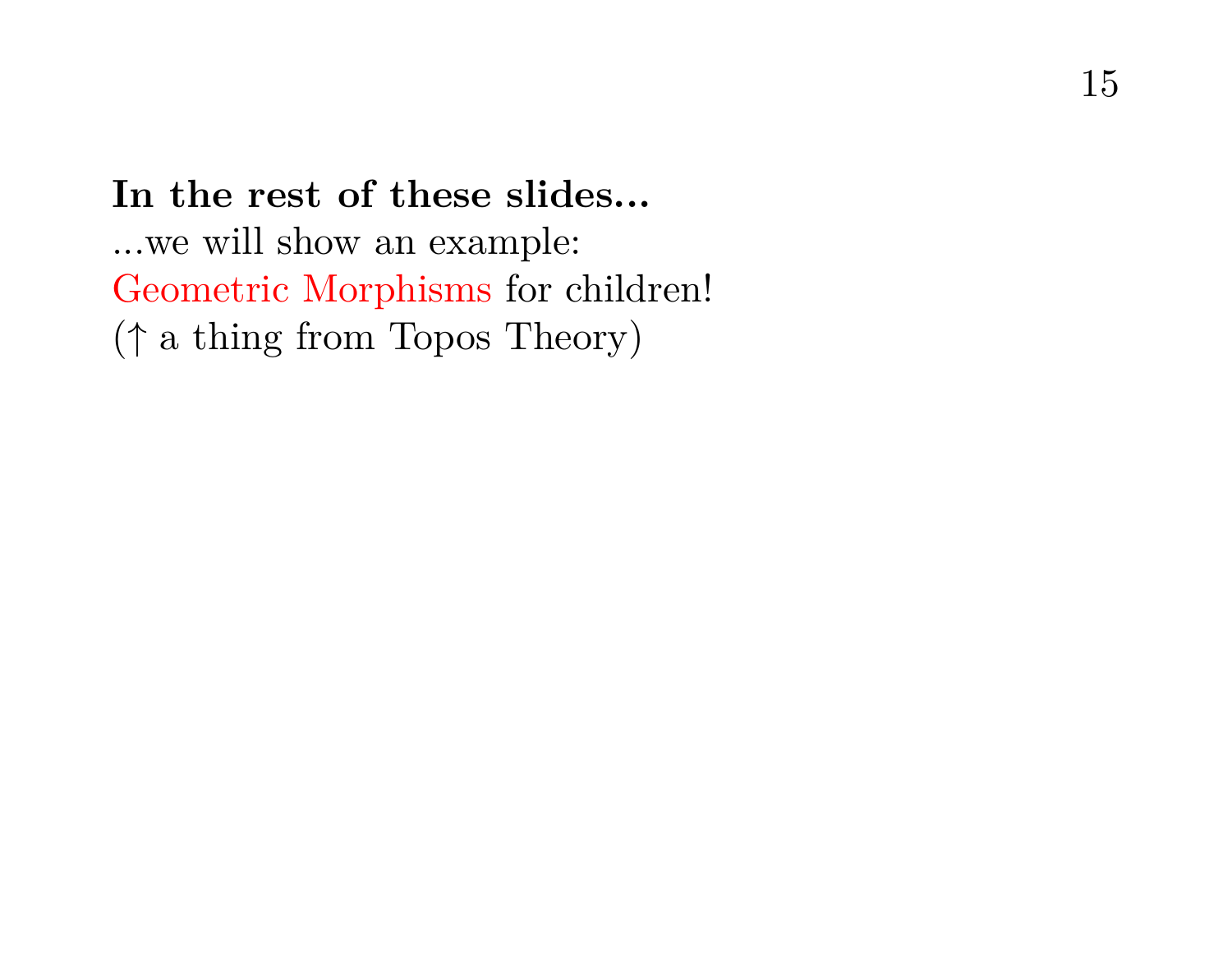**In the rest of these slides...** ...we will show an example: Geometric Morphisms for children! (↑ a thing from Topos Theory)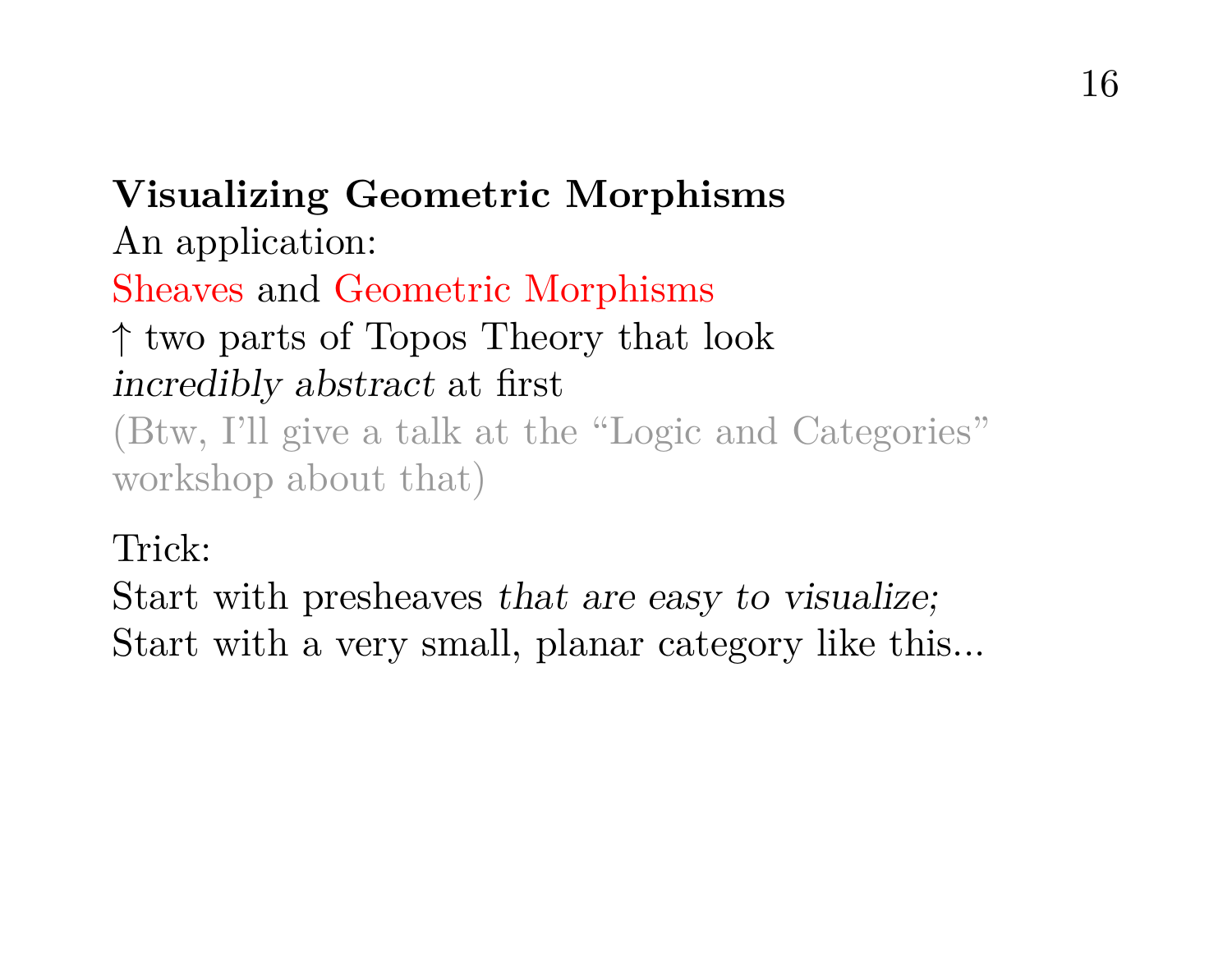**Visualizing Geometric Morphisms** An application: Sheaves and Geometric Morphisms ↑ two parts of Topos Theory that look incredibly abstract at first (Btw, I'll give a talk at the "Logic and Categories" workshop about that)

#### Trick:

Start with presheaves that are easy to visualize; Start with a very small, planar category like this...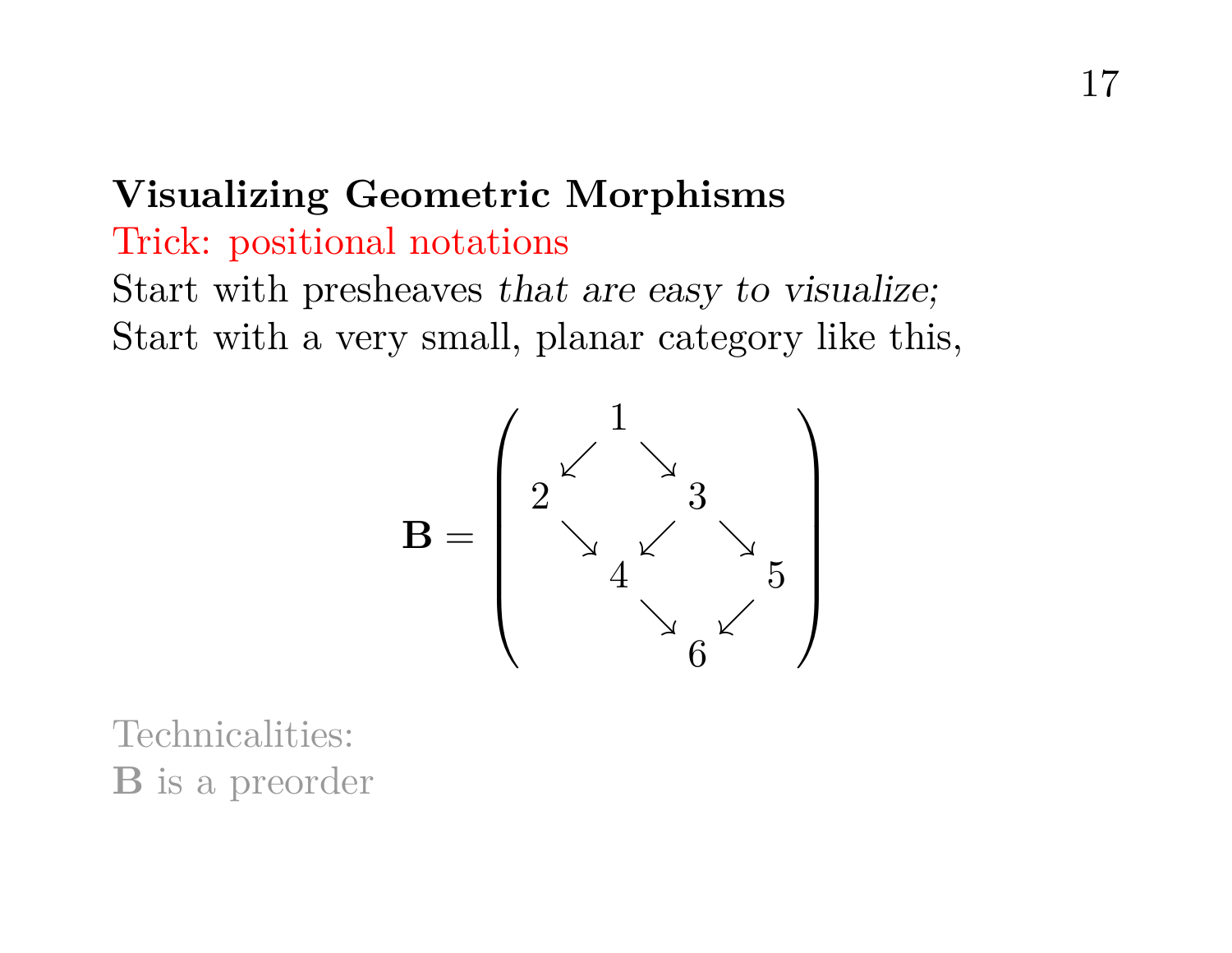# **Visualizing Geometric Morphisms**

#### Trick: positional notations

Start with presheaves that are easy to visualize; Start with a very small, planar category like this,



Technicalities: B is a preorder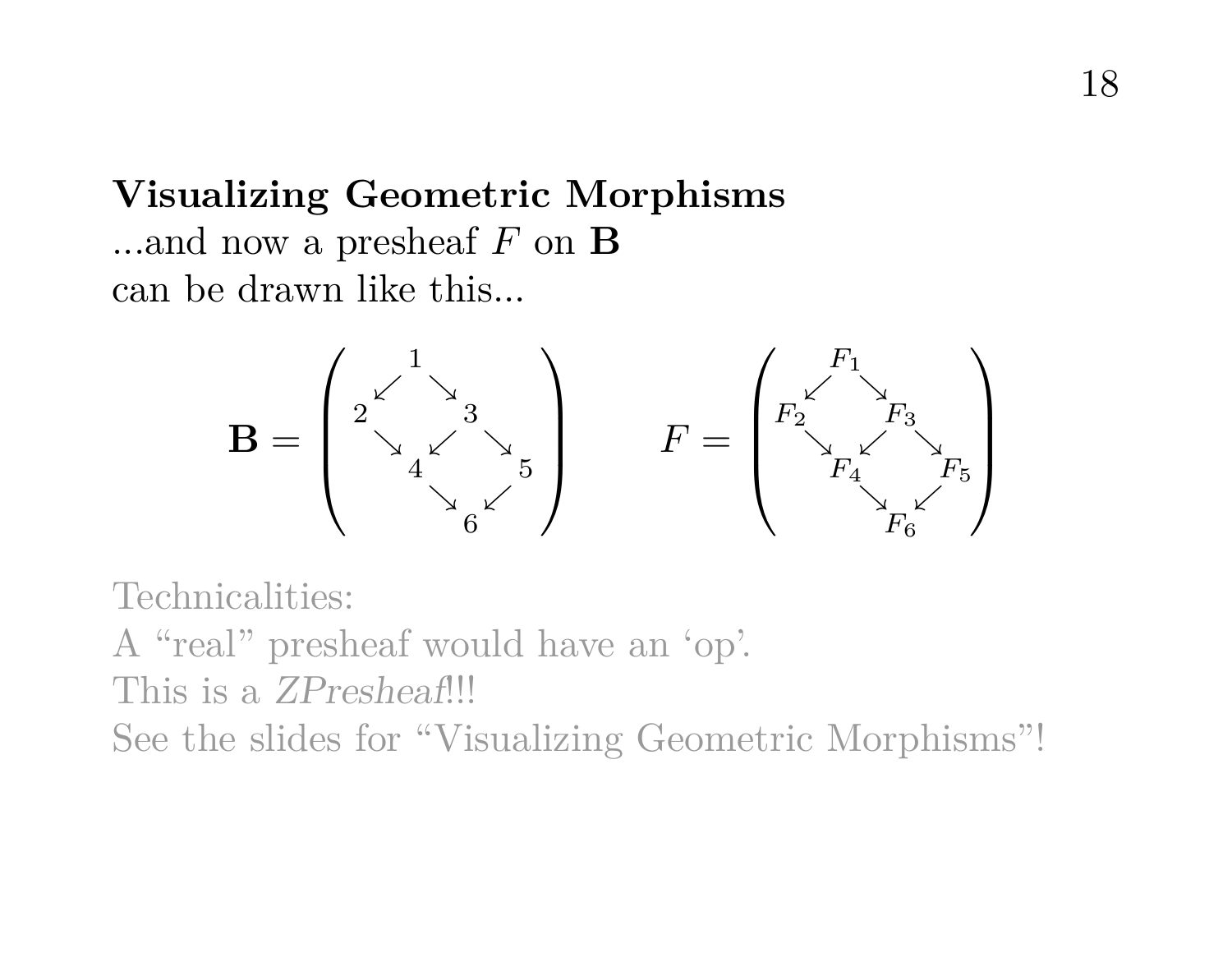## **Visualizing Geometric Morphisms** ...and now a presheaf  $F$  on  $\bf{B}$ can be drawn like this...



Technicalities: A "real" presheaf would have an 'op'. This is a ZPresheaf!!! See the slides for "Visualizing Geometric Morphisms"!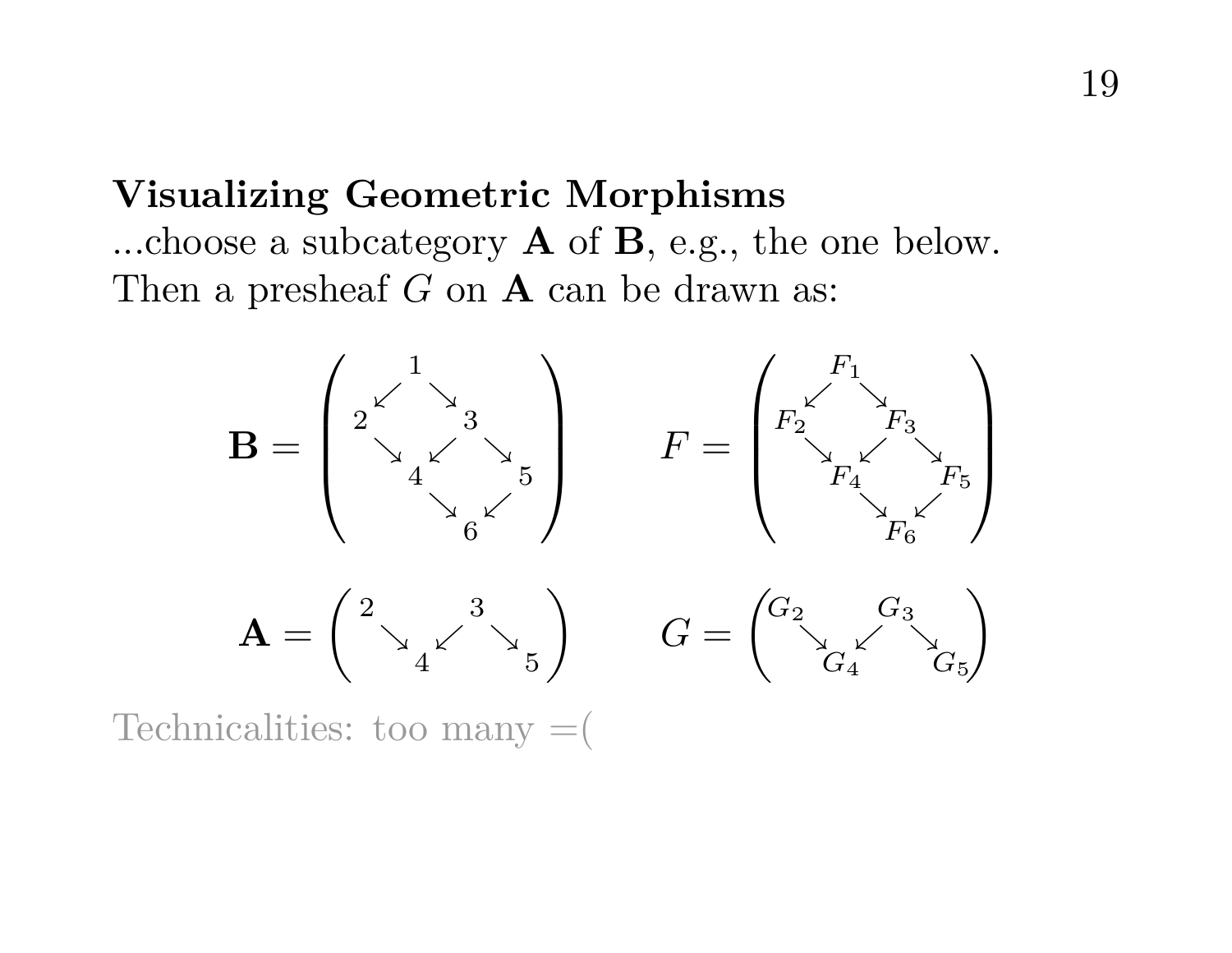## **Visualizing Geometric Morphisms** ...choose a subcategory A of B, e.g., the one below. Then a presheaf  $G$  on  $A$  can be drawn as:



Technicalities: too many  $=$  (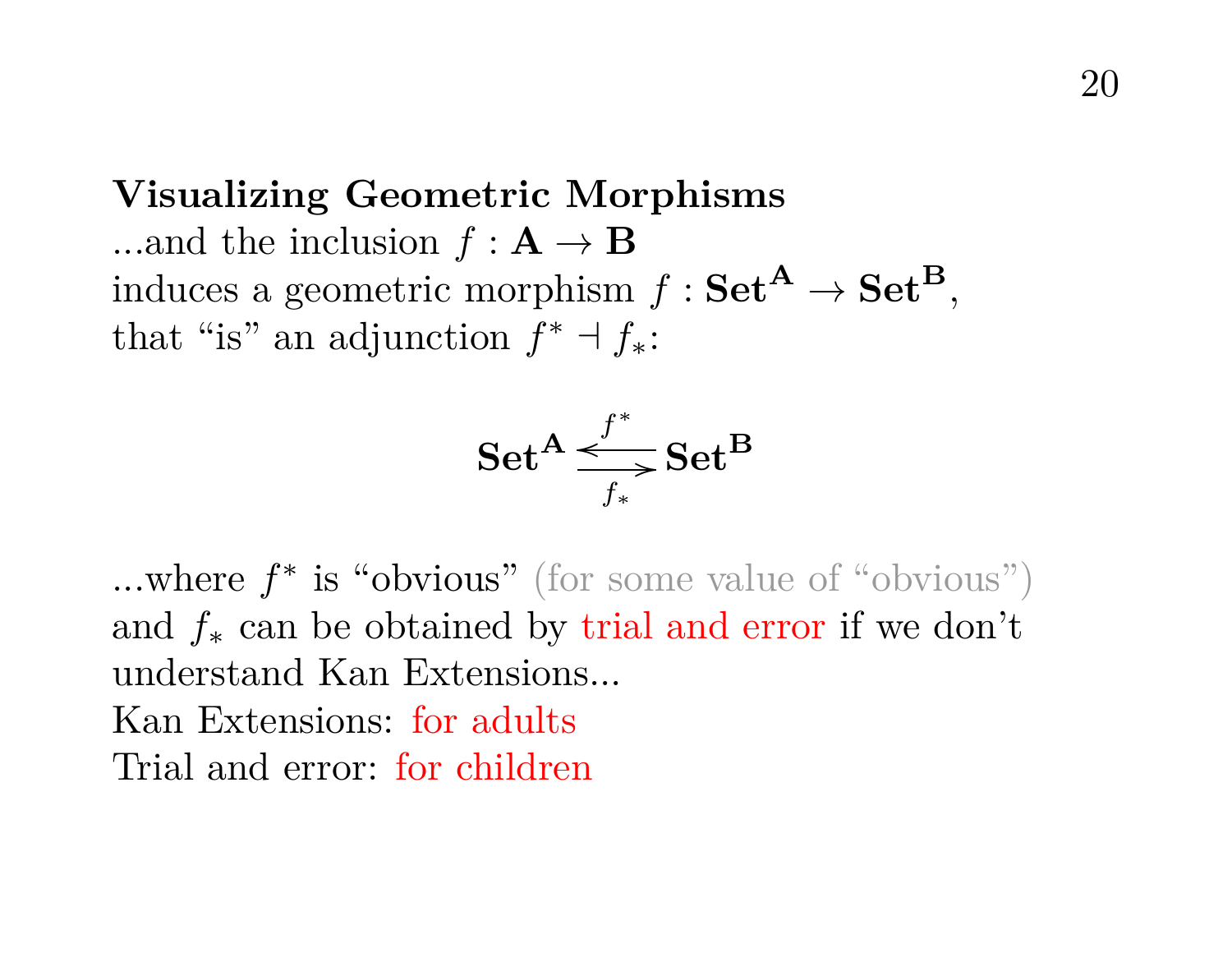**Visualizing Geometric Morphisms** ...and the inclusion  $f: \mathbf{A} \to \mathbf{B}$ induces a geometric morphism  $f : Set^A \rightarrow Set^B$ . that "is" an adjunction  $f^* \dashv f_*$ :

$$
\mathbf{Set}^{\mathbf{A}} \underset{f_*}{\overset{f^*}{\longrightarrow}} \mathbf{Set}^{\mathbf{B}}
$$

...where  $f^*$  is "obvious" (for some value of "obvious") and  $f_*$  can be obtained by trial and error if we don't understand Kan Extensions... Kan Extensions: for adults Trial and error: for children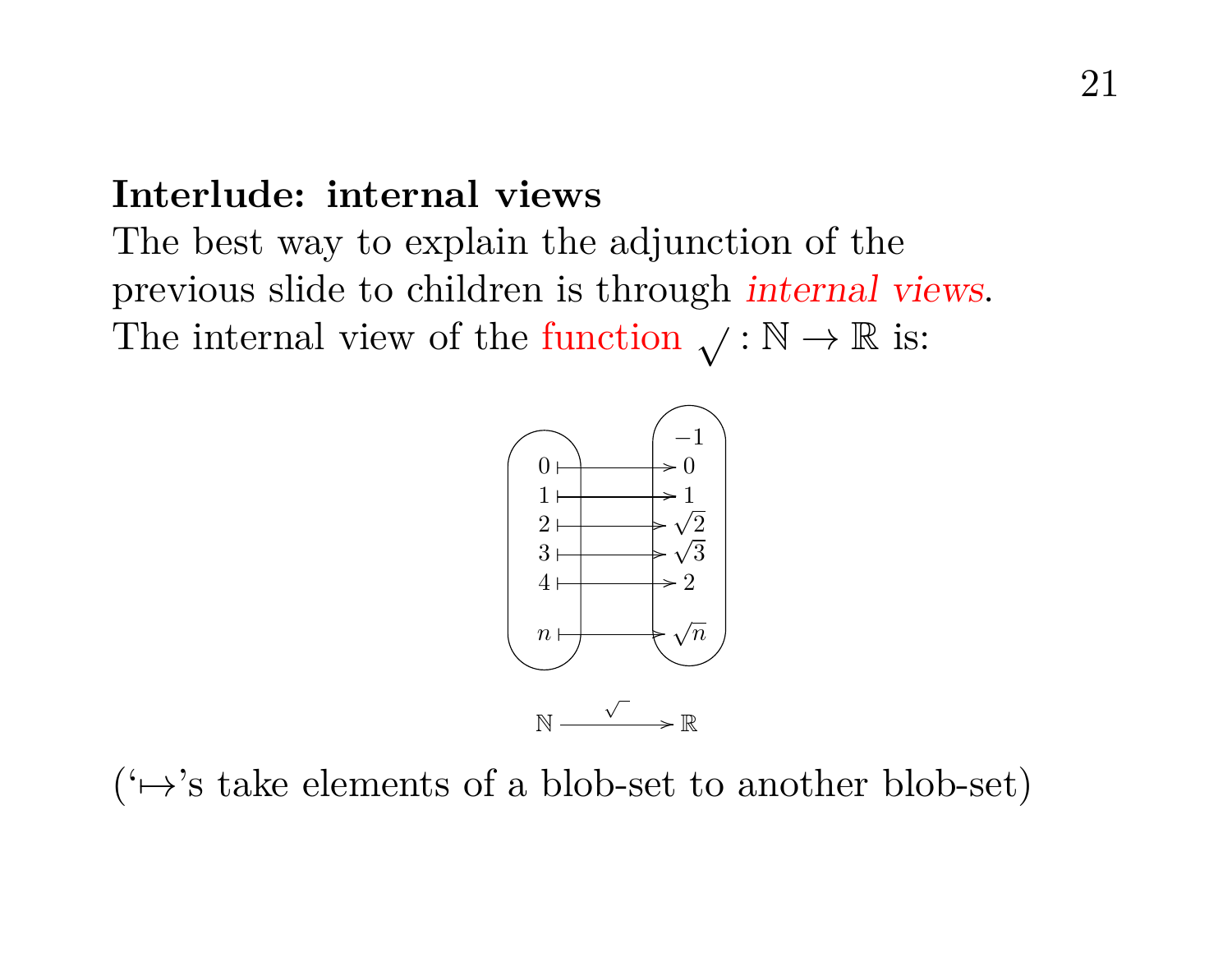#### **Interlude: internal views**

The best way to explain the adjunction of the previous slide to children is through internal views. The internal view of the function  $\sqrt{\cdot \mathbb{N}} \to \mathbb{R}$  is:



 $(\leftrightarrow)$ 's take elements of a blob-set to another blob-set)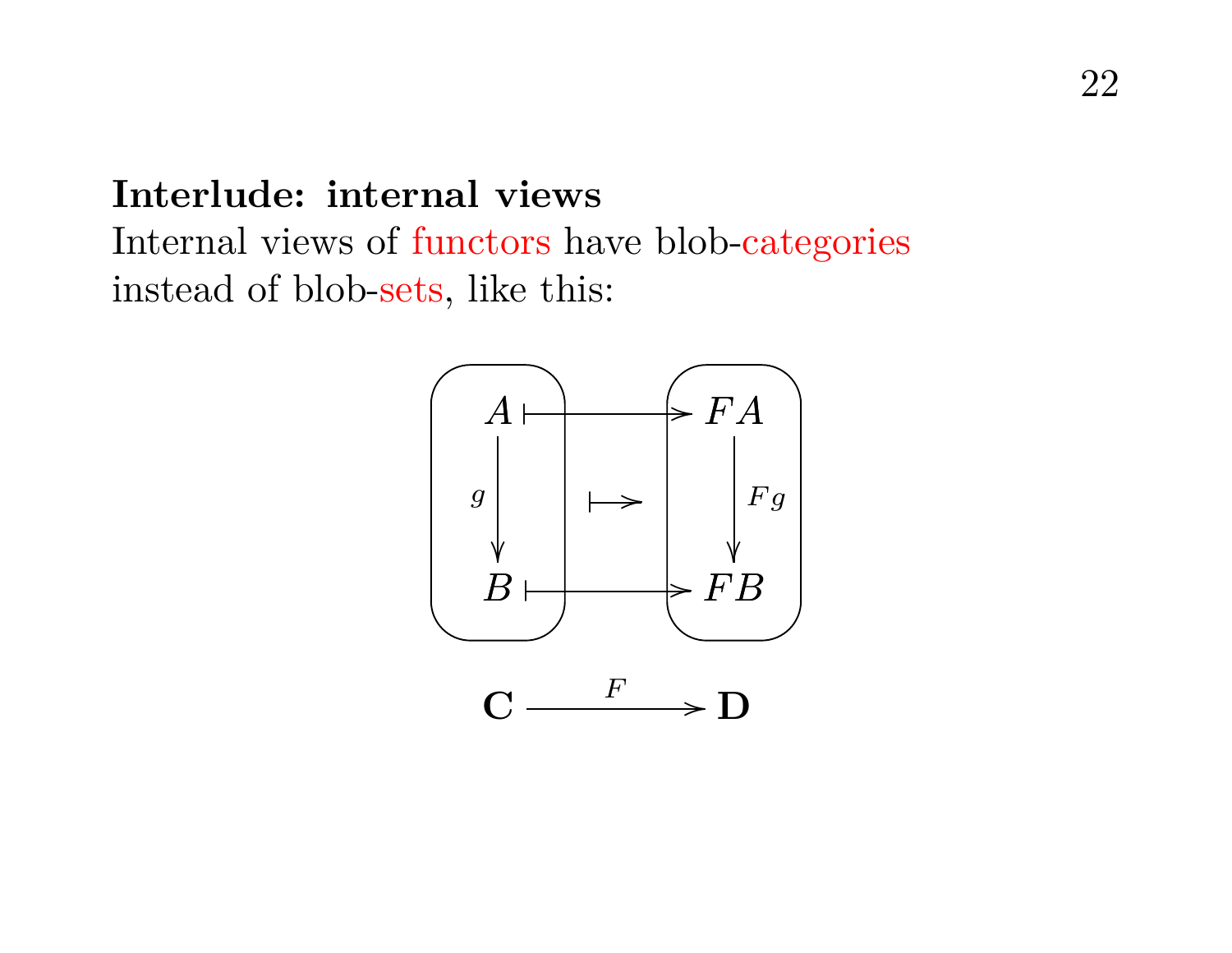#### **Interlude: internal views**

Internal views of functors have blob-categories instead of blob-sets, like this:

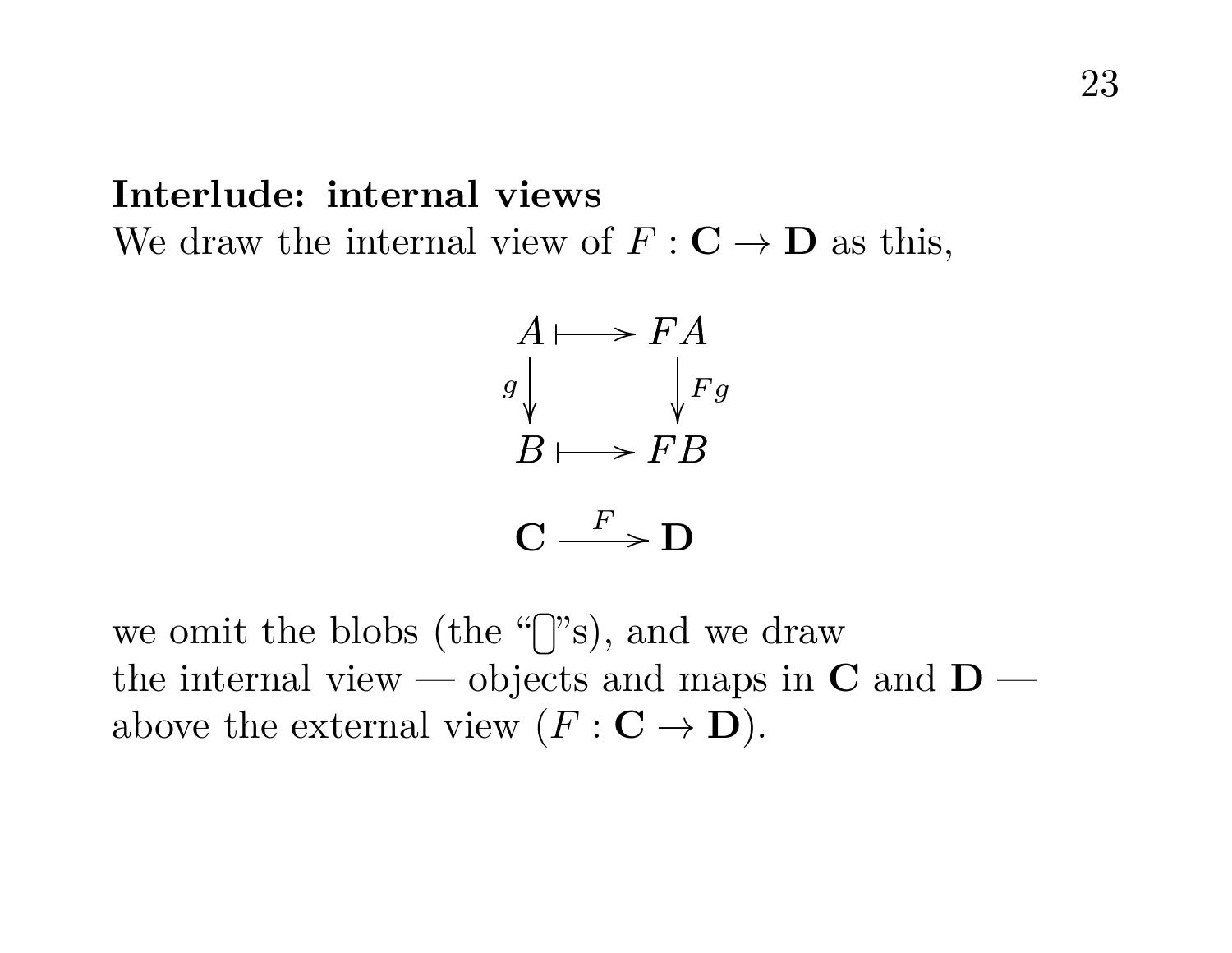#### **Interlude: internal views** We draw the internal view of  $F: \mathbf{C} \to \mathbf{D}$  as this,



we omit the blobs (the " $\gamma$ "s), and we draw the internal view — objects and maps in  $C$  and  $D$  above the external view  $(F: \mathbf{C} \to \mathbf{D}).$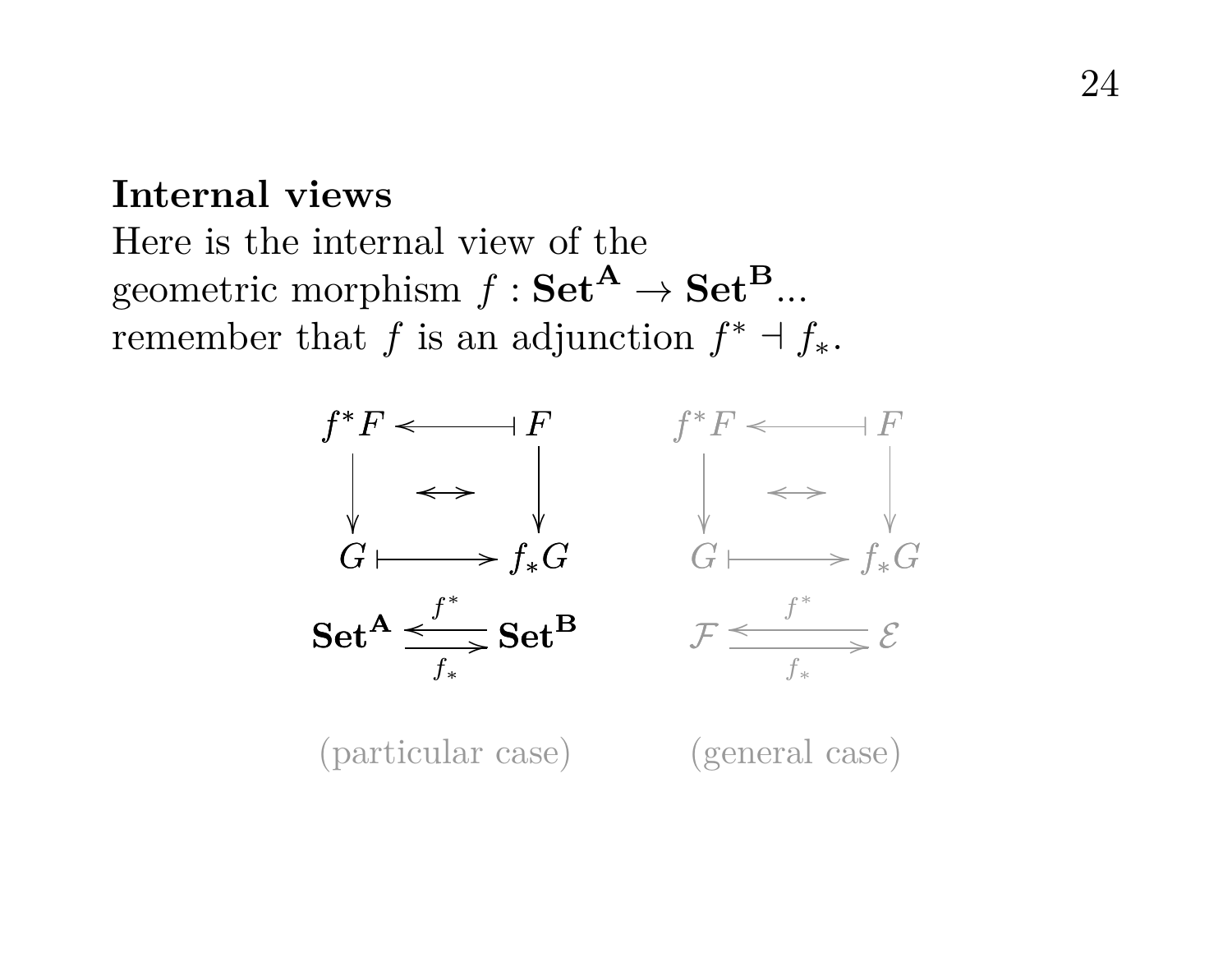#### **Internal views**

Here is the internal view of the geometric morphism  $f : \mathbf{Set}^{\mathbf{A}} \to \mathbf{Set}^{\mathbf{B}}$ ... remember that f is an adjunction  $f^* \dashv f_*$ .



(particular case) (general case)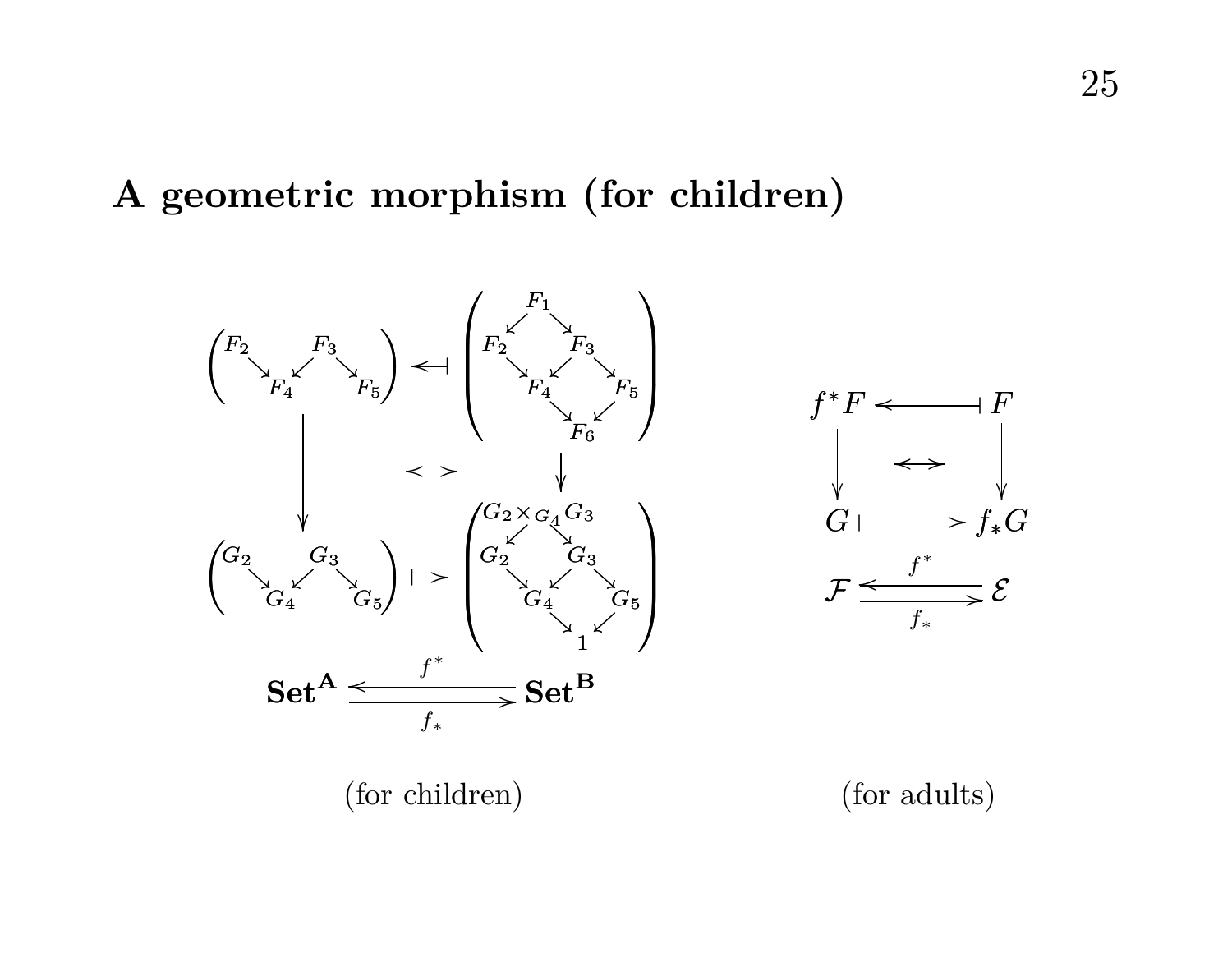#### **A geometric morphism (for children)**

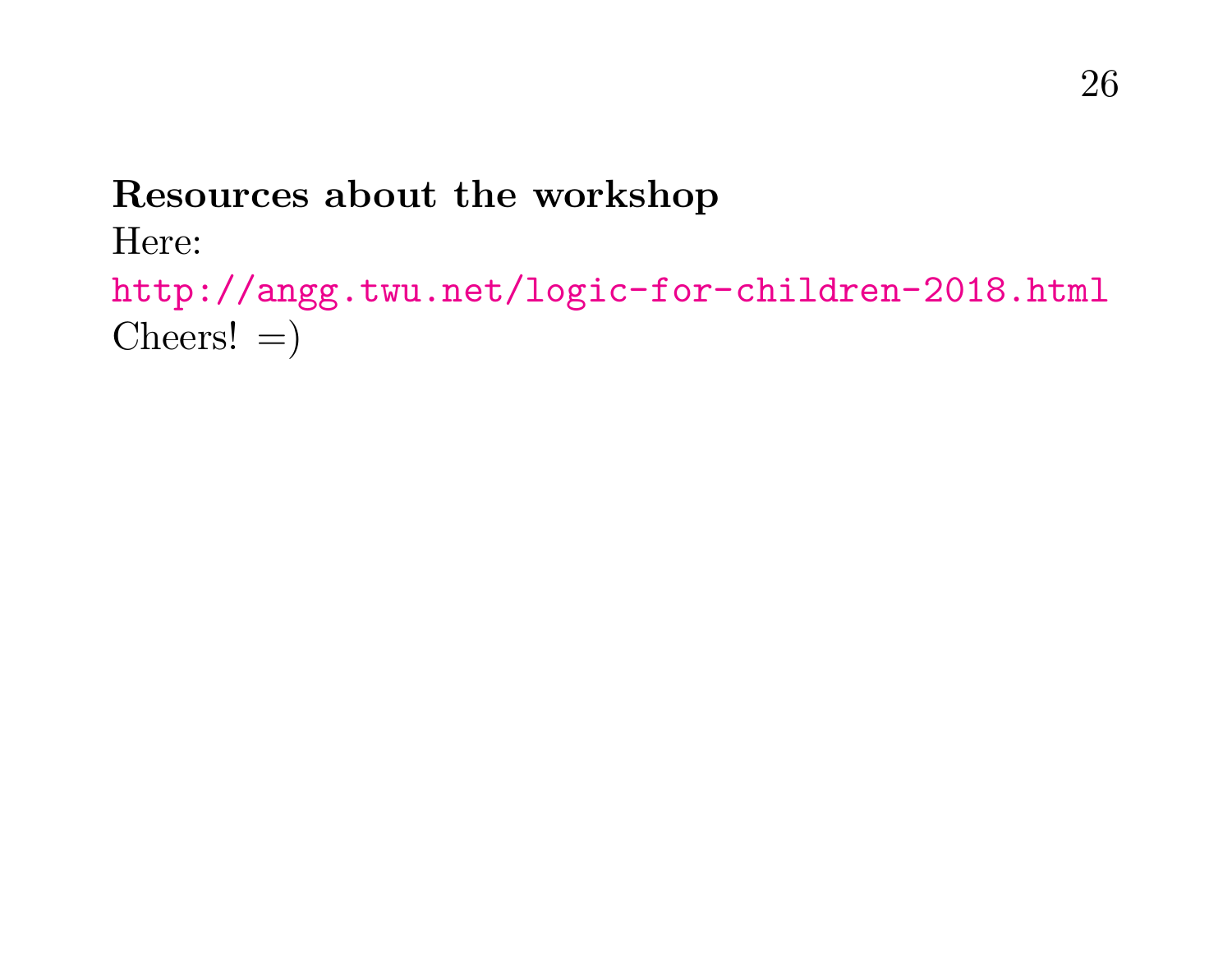### **Resources about the workshop**

#### Here:

```
http://angg.twu.net/logic-for-children-2018.html
\text{Cheers!} =
```